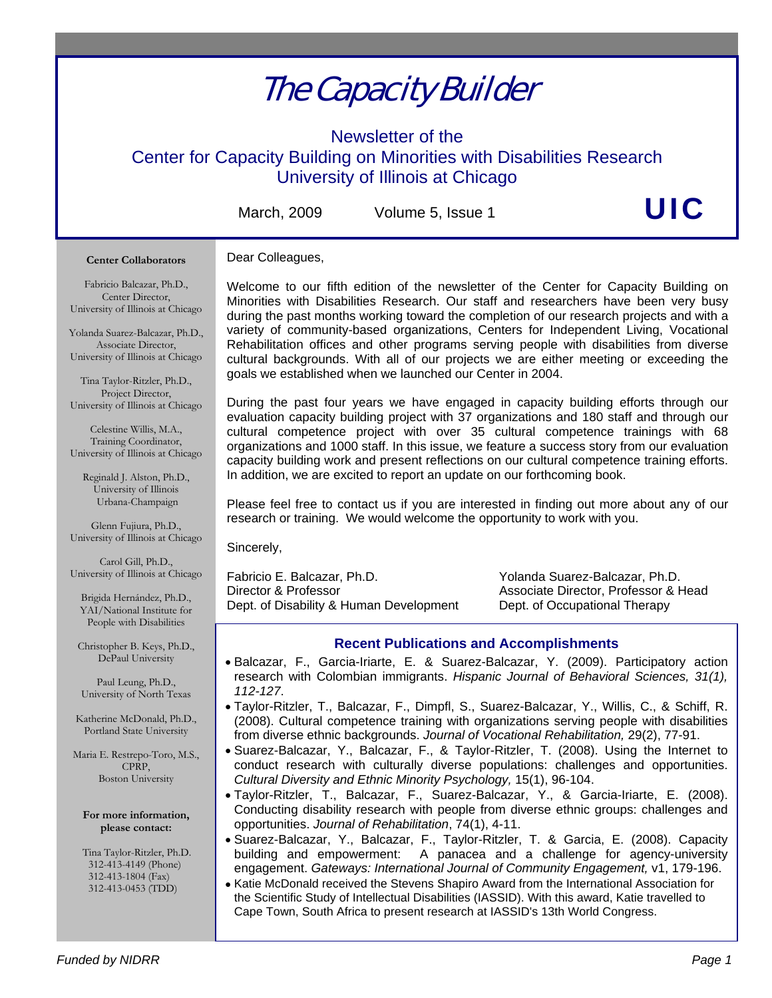# The Capacity Builder

Newsletter of the

Center for Capacity Building on Minorities with Disabilities Research University of Illinois at Chicago

March, 2009 Volume 5, Issue 1 Vertex  $\bigcup C$ 

#### **Center Collaborators**

#### Dear Colleagues,

Fabricio Balcazar, Ph.D., Center Director, University of Illinois at Chicago

Yolanda Suarez-Balcazar, Ph.D., Associate Director, University of Illinois at Chicago

Tina Taylor-Ritzler, Ph.D., Project Director, University of Illinois at Chicago

Celestine Willis, M.A., Training Coordinator, University of Illinois at Chicago

Reginald J. Alston, Ph.D., University of Illinois Urbana-Champaign

Glenn Fujiura, Ph.D., University of Illinois at Chicago

Carol Gill, Ph.D., University of Illinois at Chicago

Brigida Hernández, Ph.D., YAI/National Institute for People with Disabilities

Christopher B. Keys, Ph.D., DePaul University

Paul Leung, Ph.D., University of North Texas

Katherine McDonald, Ph.D., Portland State University

Maria E. Restrepo-Toro, M.S., CPRP, Boston University

**For more information, please contact:** 

 Tina Taylor-Ritzler, Ph.D. 312-413-4149 (Phone) 312-413-1804 (Fax) 312-413-0453 (TDD)

Welcome to our fifth edition of the newsletter of the Center for Capacity Building on Minorities with Disabilities Research. Our staff and researchers have been very busy during the past months working toward the completion of our research projects and with a variety of community-based organizations, Centers for Independent Living, Vocational Rehabilitation offices and other programs serving people with disabilities from diverse cultural backgrounds. With all of our projects we are either meeting or exceeding the goals we established when we launched our Center in 2004.

During the past four years we have engaged in capacity building efforts through our evaluation capacity building project with 37 organizations and 180 staff and through our cultural competence project with over 35 cultural competence trainings with 68 organizations and 1000 staff. In this issue, we feature a success story from our evaluation capacity building work and present reflections on our cultural competence training efforts. In addition, we are excited to report an update on our forthcoming book.

Please feel free to contact us if you are interested in finding out more about any of our research or training. We would welcome the opportunity to work with you.

Sincerely,

Fabricio E. Balcazar, Ph.D. Yolanda Suarez-Balcazar, Ph.D. Director & Professor Associate Director, Professor & Head Dept. of Disability & Human Development Dept. of Occupational Therapy

# **Recent Publications and Accomplishments**

- Balcazar, F., Garcia-Iriarte, E. & Suarez-Balcazar, Y. (2009). Participatory action research with Colombian immigrants. *Hispanic Journal of Behavioral Sciences, 31(1), 112-127*.
- Taylor-Ritzler, T., Balcazar, F., Dimpfl, S., Suarez-Balcazar, Y., Willis, C., & Schiff, R. (2008). Cultural competence training with organizations serving people with disabilities from diverse ethnic backgrounds. *Journal of Vocational Rehabilitation,* 29(2), 77-91.
- Suarez-Balcazar, Y., Balcazar, F., & Taylor-Ritzler, T. (2008). Using the Internet to conduct research with culturally diverse populations: challenges and opportunities. *Cultural Diversity and Ethnic Minority Psychology,* 15(1), 96-104.
- Taylor-Ritzler, T., Balcazar, F., Suarez-Balcazar, Y., & Garcia-Iriarte, E. (2008). Conducting disability research with people from diverse ethnic groups: challenges and opportunities. *Journal of Rehabilitation*, 74(1), 4-11.
- Suarez-Balcazar, Y., Balcazar, F., Taylor-Ritzler, T. & Garcia, E. (2008). Capacity building and empowerment: A panacea and a challenge for agency-university engagement. *Gateways: International Journal of Community Engagement,* v1, 179-196.
- Katie McDonald received the Stevens Shapiro Award from the International Association for the Scientific Study of Intellectual Disabilities (IASSID). With this award, Katie travelled to Cape Town, South Africa to present research at IASSID's 13th World Congress.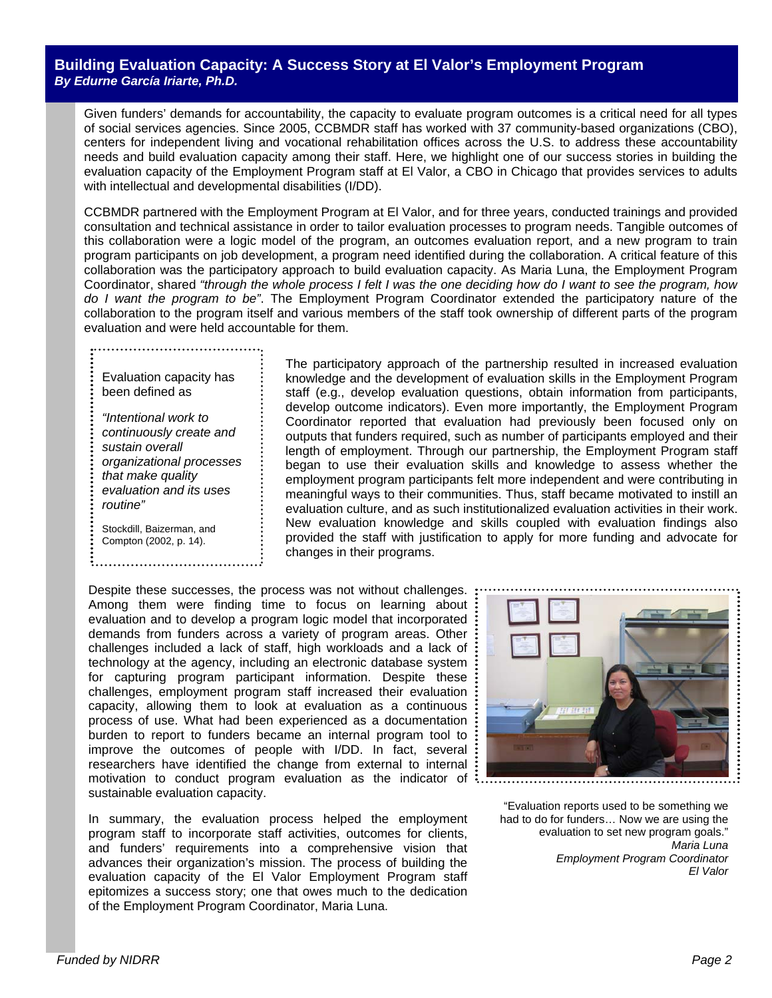### **Building Evaluation Capacity: A Success Story at El Valor's Employment Program**  *By Edurne García Iriarte, Ph.D.*

Given funders' demands for accountability, the capacity to evaluate program outcomes is a critical need for all types of social services agencies. Since 2005, CCBMDR staff has worked with 37 community-based organizations (CBO), centers for independent living and vocational rehabilitation offices across the U.S. to address these accountability needs and build evaluation capacity among their staff. Here, we highlight one of our success stories in building the evaluation capacity of the Employment Program staff at El Valor, a CBO in Chicago that provides services to adults with intellectual and developmental disabilities (I/DD).

CCBMDR partnered with the Employment Program at El Valor, and for three years, conducted trainings and provided consultation and technical assistance in order to tailor evaluation processes to program needs. Tangible outcomes of this collaboration were a logic model of the program, an outcomes evaluation report, and a new program to train program participants on job development, a program need identified during the collaboration. A critical feature of this collaboration was the participatory approach to build evaluation capacity. As Maria Luna, the Employment Program Coordinator, shared *"through the whole process I felt I was the one deciding how do I want to see the program, how do I want the program to be"*. The Employment Program Coordinator extended the participatory nature of the collaboration to the program itself and various members of the staff took ownership of different parts of the program evaluation and were held accountable for them.

Evaluation capacity has been defined as

*"Intentional work to continuously create and sustain overall organizational processes that make quality evaluation and its uses routine"*

Stockdill, Baizerman, and Compton (2002, p. 14).

The participatory approach of the partnership resulted in increased evaluation knowledge and the development of evaluation skills in the Employment Program staff (e.g., develop evaluation questions, obtain information from participants, develop outcome indicators). Even more importantly, the Employment Program Coordinator reported that evaluation had previously been focused only on outputs that funders required, such as number of participants employed and their length of employment. Through our partnership, the Employment Program staff began to use their evaluation skills and knowledge to assess whether the employment program participants felt more independent and were contributing in meaningful ways to their communities. Thus, staff became motivated to instill an evaluation culture, and as such institutionalized evaluation activities in their work. New evaluation knowledge and skills coupled with evaluation findings also provided the staff with justification to apply for more funding and advocate for changes in their programs.

 Despite these successes, the process was not without challenges. Among them were finding time to focus on learning about evaluation and to develop a program logic model that incorporated demands from funders across a variety of program areas. Other challenges included a lack of staff, high workloads and a lack of technology at the agency, including an electronic database system for capturing program participant information. Despite these challenges, employment program staff increased their evaluation capacity, allowing them to look at evaluation as a continuous process of use. What had been experienced as a documentation burden to report to funders became an internal program tool to improve the outcomes of people with I/DD. In fact, several researchers have identified the change from external to internal motivation to conduct program evaluation as the indicator of  $\ddots$ sustainable evaluation capacity.

In summary, the evaluation process helped the employment program staff to incorporate staff activities, outcomes for clients, and funders' requirements into a comprehensive vision that advances their organization's mission. The process of building the evaluation capacity of the El Valor Employment Program staff epitomizes a success story; one that owes much to the dedication of the Employment Program Coordinator, Maria Luna.



"Evaluation reports used to be something we had to do for funders… Now we are using the evaluation to set new program goals." *Maria Luna Employment Program Coordinator El Valor*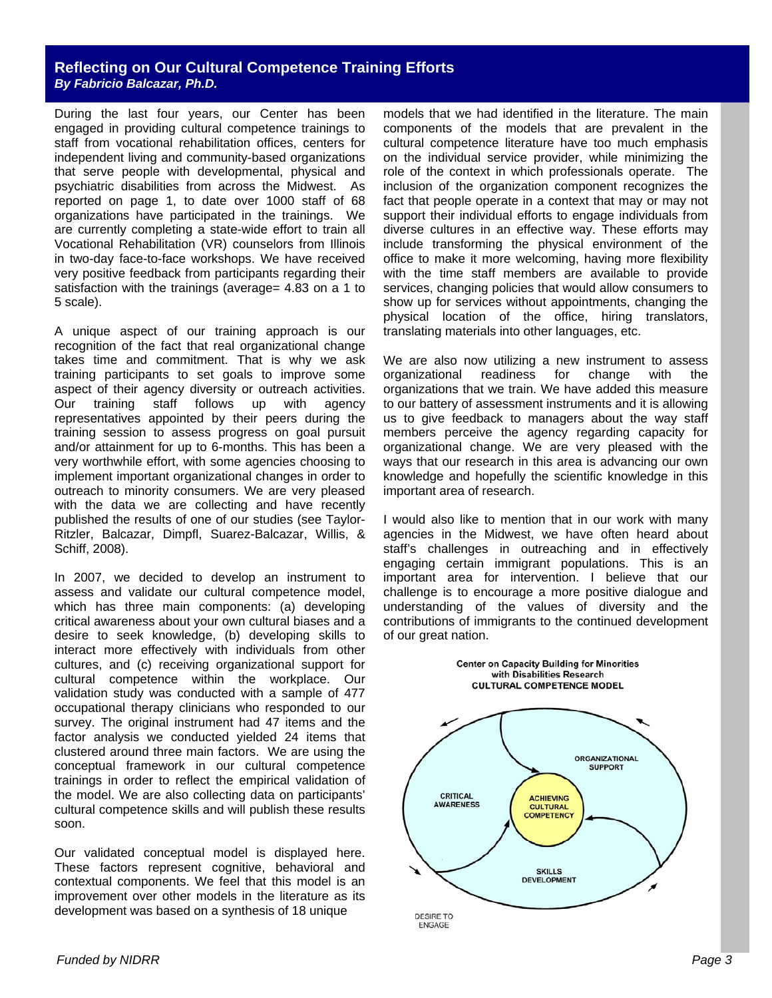#### **Reflecting on Our Cultural Competence Training Efforts**  *By Fabricio Balcazar, Ph.D.*

During the last four years, our Center has been engaged in providing cultural competence trainings to staff from vocational rehabilitation offices, centers for independent living and community-based organizations that serve people with developmental, physical and psychiatric disabilities from across the Midwest. As reported on page 1, to date over 1000 staff of 68 organizations have participated in the trainings. We are currently completing a state-wide effort to train all Vocational Rehabilitation (VR) counselors from Illinois in two-day face-to-face workshops. We have received very positive feedback from participants regarding their satisfaction with the trainings (average= 4.83 on a 1 to 5 scale).

A unique aspect of our training approach is our recognition of the fact that real organizational change takes time and commitment. That is why we ask training participants to set goals to improve some aspect of their agency diversity or outreach activities. Our training staff follows up with agency representatives appointed by their peers during the training session to assess progress on goal pursuit and/or attainment for up to 6-months. This has been a very worthwhile effort, with some agencies choosing to implement important organizational changes in order to outreach to minority consumers. We are very pleased with the data we are collecting and have recently published the results of one of our studies (see Taylor-Ritzler, Balcazar, Dimpfl, Suarez-Balcazar, Willis, & Schiff, 2008).

In 2007, we decided to develop an instrument to assess and validate our cultural competence model, which has three main components: (a) developing critical awareness about your own cultural biases and a desire to seek knowledge, (b) developing skills to interact more effectively with individuals from other cultures, and (c) receiving organizational support for cultural competence within the workplace. Our validation study was conducted with a sample of 477 occupational therapy clinicians who responded to our survey. The original instrument had 47 items and the factor analysis we conducted yielded 24 items that clustered around three main factors. We are using the conceptual framework in our cultural competence trainings in order to reflect the empirical validation of the model. We are also collecting data on participants' cultural competence skills and will publish these results soon.

Our validated conceptual model is displayed here. These factors represent cognitive, behavioral and contextual components. We feel that this model is an improvement over other models in the literature as its development was based on a synthesis of 18 unique

models that we had identified in the literature. The main components of the models that are prevalent in the cultural competence literature have too much emphasis on the individual service provider, while minimizing the role of the context in which professionals operate. The inclusion of the organization component recognizes the fact that people operate in a context that may or may not support their individual efforts to engage individuals from diverse cultures in an effective way. These efforts may include transforming the physical environment of the office to make it more welcoming, having more flexibility with the time staff members are available to provide services, changing policies that would allow consumers to show up for services without appointments, changing the physical location of the office, hiring translators, translating materials into other languages, etc.

We are also now utilizing a new instrument to assess organizational readiness for change with the organizations that we train. We have added this measure to our battery of assessment instruments and it is allowing us to give feedback to managers about the way staff members perceive the agency regarding capacity for organizational change. We are very pleased with the ways that our research in this area is advancing our own knowledge and hopefully the scientific knowledge in this important area of research.

I would also like to mention that in our work with many agencies in the Midwest, we have often heard about staff's challenges in outreaching and in effectively engaging certain immigrant populations. This is an important area for intervention. I believe that our challenge is to encourage a more positive dialogue and understanding of the values of diversity and the contributions of immigrants to the continued development of our great nation.

**Center on Capacity Building for Minorities**